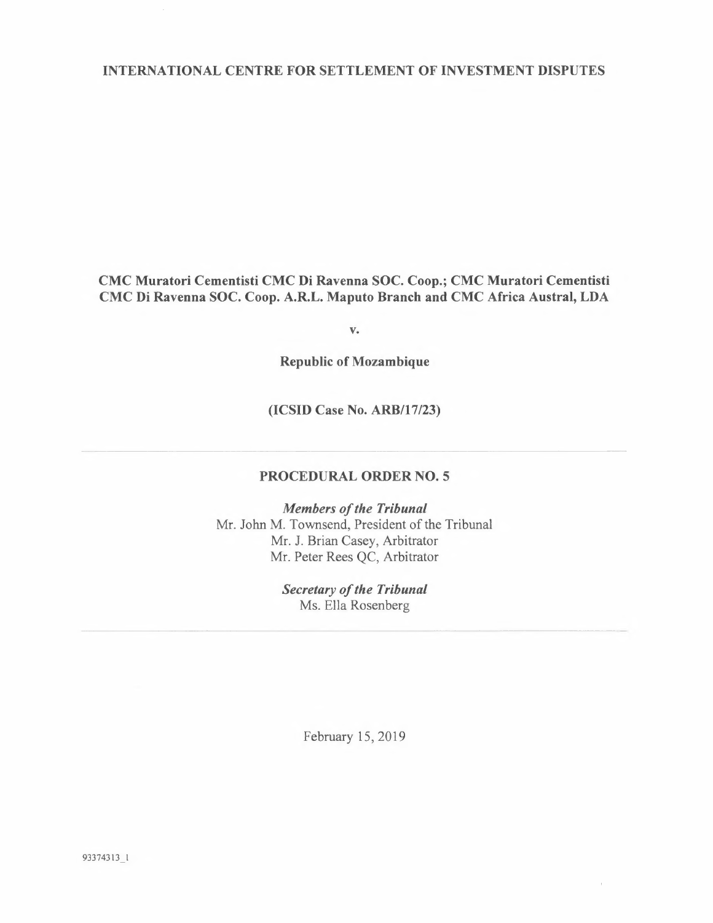## INTERNATIONAL CENTRE FOR SETTLEMENT OF INVESTMENT DISPUTES

CMC Muratori Cementisti CMC Di Ravenna SOC. Coop.; CMC Muratori Cementisti CMC Di Ravenna SOC. Coop. A.R.L. Maputo Branch and CMC Africa Austral, LDA

**v.** 

**Republic of Mozambique** 

**(ICSID Case No. ARB/17/23)** 

# **PROCEDURAL ORDER NO. 5**

*Members of the Tribunal*  Mr. John M. Townsend, President of the Tribunal Mr. J. Brian Casey, Arbitrator Mr. Peter Rees QC, Arbitrator

> *Secretary of the Tribunal*  Ms. Ella Rosenberg

> > February 15, 2019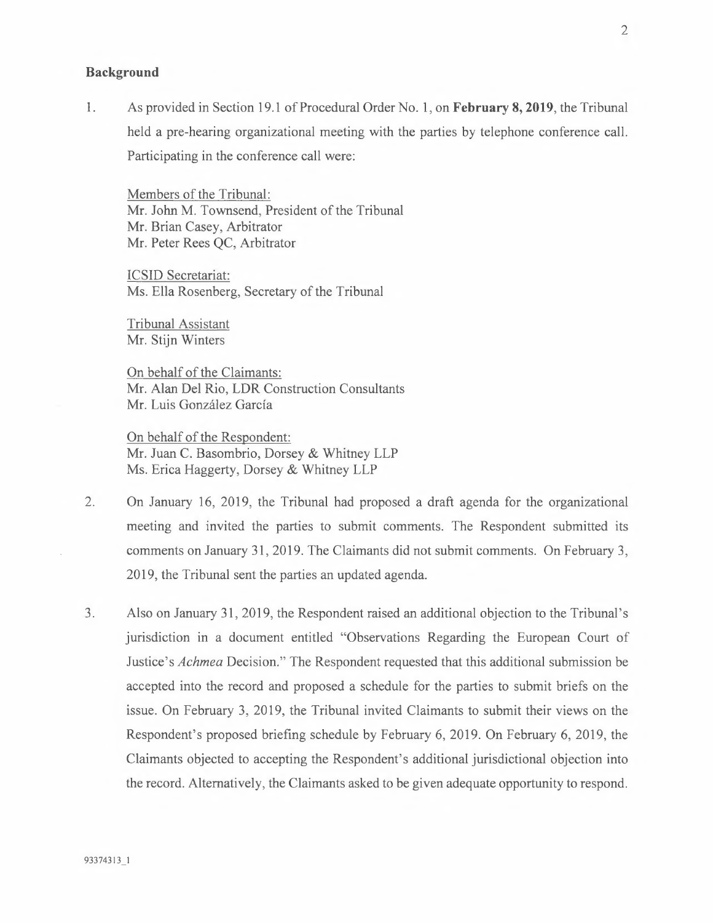#### **Background**

1. As provided in Section 19.1 of Procedural Order No. 1, on **February 8, 2019,** the Tribunal held a pre-hearing organizational meeting with the parties by telephone conference call. Participating in the conference call were:

Members of the Tribunal: Mr. John M. Townsend, President of the Tribunal Mr. Brian Casey, Arbitrator Mr. Peter Rees QC, Arbitrator

ICSID Secretariat: Ms. Ella Rosenberg, Secretary of the Tribunal

Tribunal Assistant Mr. Stijn Winters

On behalf of the Claimants: Mr. Alan Del Rio, LDR Construction Consultants Mr. Luis González García

On behalf of the Respondent: Mr. Juan C. Basombrio, Dorsey & Whitney LLP Ms. Erica Haggerty, Dorsey & Whitney LLP

- 2. On January 16, 2019, the Tribunal had proposed a draft agenda for the organizational meeting and invited the parties to submit comments. The Respondent submitted its comments on January 31, 2019. The Claimants did not submit comments. On February 3, 2019, the Tribunal sent the parties an updated agenda.
- 3. Also on January 31, 2019, the Respondent raised an additional objection to the Tribunal's jurisdiction in a document entitled "Observations Regarding the European Court of Justice's *Achmea* Decision." The Respondent requested that this additional submission be accepted into the record and proposed a schedule for the parties to submit briefs on the issue. On February 3, 2019, the Tribunal invited Claimants to submit their views on the Respondent's proposed briefing schedule by February 6, 2019. On February 6, 2019, the Claimants objected to accepting the Respondent's additional jurisdictional objection into the record. Alternatively, the Claimants asked to be given adequate opportunity to respond.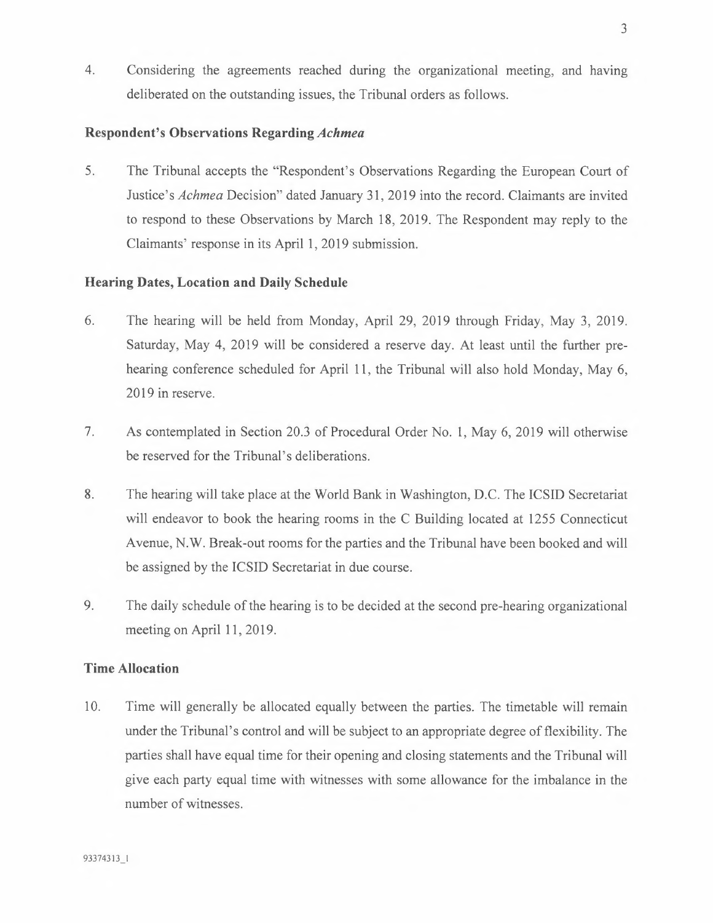4. Considering the agreements reached during the organizational meeting, and having deliberated on the outstanding issues, the Tribunal orders as follows.

## **Respondent's Observations Regarding** *Achmea*

5. The Tribunal accepts the "Respondent's Observations Regarding the European Court of Justice's *Achmea* Decision" dated January 31, 2019 into the record. Claimants are invited to respond to these Observations by March 18, 2019. The Respondent may reply to the Claimants' response in its April 1, 2019 submission.

## **Hearing Dates, Location and Daily Schedule**

- 6. The hearing will be held from Monday, April 29, 2019 through Friday, May 3, 2019. Saturday, May 4, 2019 will be considered a reserve day. At least until the further prehearing conference scheduled for April 11, the Tribunal will also hold Monday, May 6, 2019 in reserve.
- 7. As contemplated in Section 20.3 of Procedural Order No. 1, May 6, 2019 will otherwise be reserved for the Tribunal's deliberations.
- 8. The hearing will take place at the World Bank in Washington, D.C. The ICSID Secretariat will endeavor to book the hearing rooms in the C Building located at 1255 Connecticut Avenue, N.W. Break-out rooms for the parties and the Tribunal have been booked and will be assigned by the ICSID Secretariat in due course.
- 9. The daily schedule of the hearing is to be decided at the second pre-hearing organizational meeting on April 11, 2019.

## **Time Allocation**

10. Time will generally be allocated equally between the parties. The timetable will remain under the Tribunal's control and will be subject to an appropriate degree of flexibility. The parties shall have equal time for their opening and closing statements and the Tribunal will give each party equal time with witnesses with some allowance for the imbalance in the number of witnesses.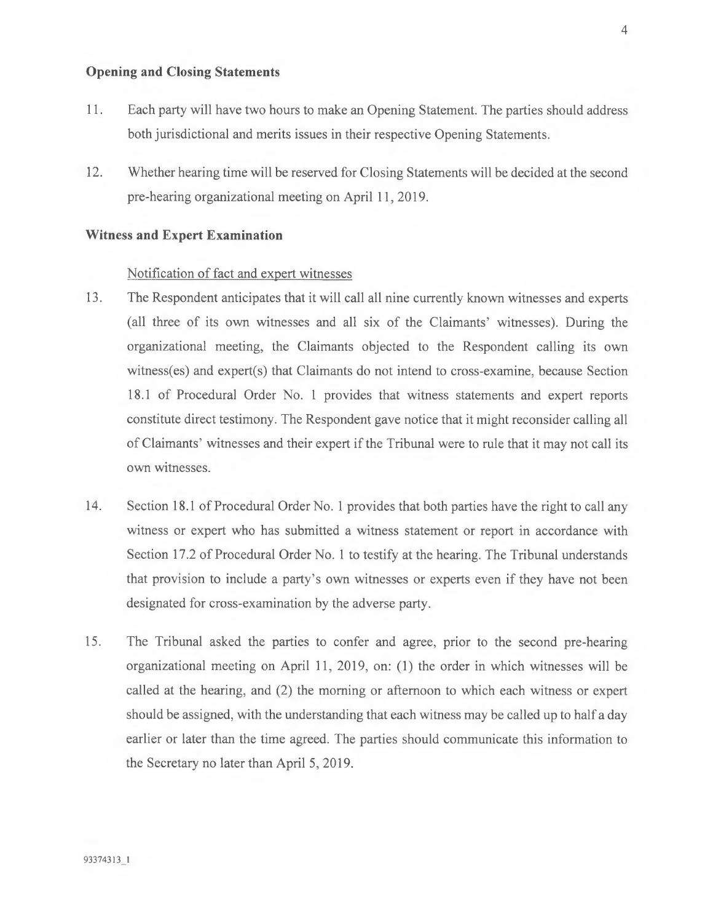# **Opening and Closing Statements**

- 11. Each party will have two hours to make an Opening Statement. The parties should address both jurisdictional and merits issues in their respective Opening Statements.
- 12. Whether hearing time will be reserved for Closing Statements will be decided at the second pre-hearing organizational meeting on April 11, 2019.

#### **Witness and Expert Examination**

### Notification of fact and expert witnesses

- 13. The Respondent anticipates that it will call all nine currently known witnesses and experts (all three of its own witnesses and all six of the Claimants' witnesses). During the organizational meeting, the Claimants objected to the Respondent calling its own witness(es) and expert(s) that Claimants do not intend to cross-examine, because Section 18.1 of Procedural Order No. 1 provides that witness statements and expert reports constitute direct testimony. The Respondent gave notice that it might reconsider calling all of Claimants' witnesses and their expert if the Tribunal were to rule that it may not call its own witnesses.
- 14. Section 18.1 of Procedural Order No. 1 provides that both parties have the right to call any witness or expert who has submitted a witness statement or report in accordance with Section 17.2 of Procedural Order No. 1 to testify at the hearing. The Tribunal understands that provision to include a party's own witnesses or experts even if they have not been designated for cross-examination by the adverse party.
- 15. The Tribunal asked the parties to confer and agree, prior to the second pre-hearing organizational meeting on April 11, 2019, on: (1) the order in which witnesses will be called at the hearing, and (2) the morning or afternoon to which each witness or expert should be assigned, with the understanding that each witness may be called up to half a day earlier or later than the time agreed. The parties should communicate this information to the Secretary no later than April 5, 2019.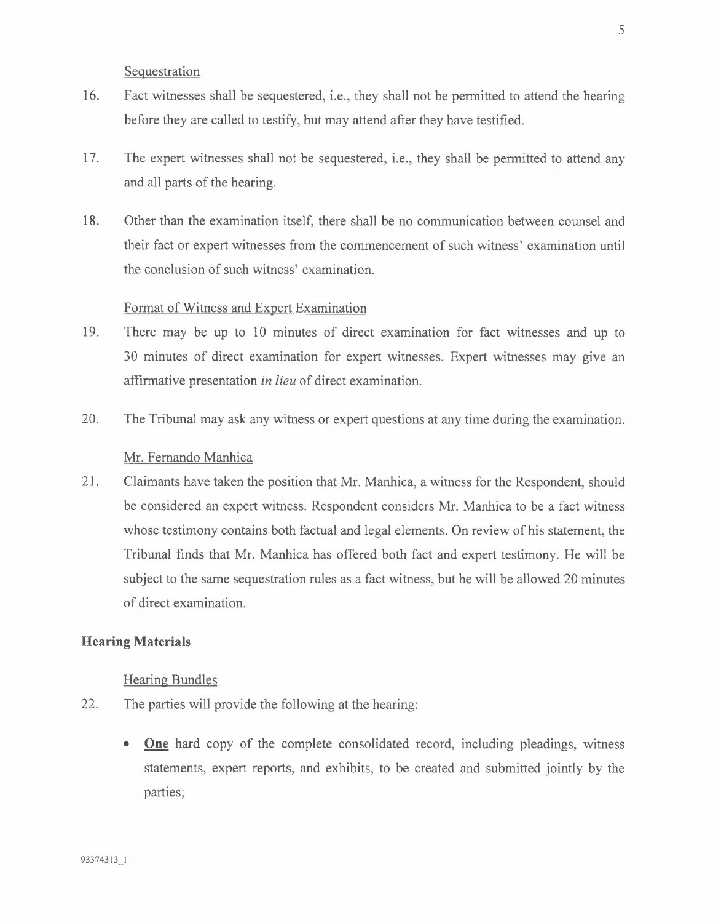Sequestration

- 16. Fact witnesses shall be sequestered, i.e., they shall not be permitted to attend the hearing before they are called to testify, but may attend after they have testified.
- 17. The expert witnesses shall not be sequestered, i.e., they shall be permitted to attend any and all parts of the hearing.
- 18. Other than the examination itself, there shall be no communication between counsel and their fact or expert witnesses from the commencement of such witness' examination until the conclusion of such witness' examination.

# Format of Witness and Expert Examination

- 19. There may be up to 10 minutes of direct examination for fact witnesses and up to 30 minutes of direct examination for expert witnesses. Expert witnesses may give an affirmative presentation *in lieu* of direct examination.
- 20. The Tribunal may ask any witness or expert questions at any time during the examination.

## Mr. Fernando Manhica

21. Claimants have taken the position that Mr. Manhica, a witness for the Respondent, should be considered an expert witness. Respondent considers Mr. Manhica to be a fact witness whose testimony contains both factual and legal elements. On review of his statement, the Tribunal finds that Mr. Manhica has offered both fact and expert testimony. He will be subject to the same sequestration rules as a fact witness, but he will be allowed 20 minutes of direct examination.

## **Hearing Materials**

#### Hearing Bundles

- 22. The parties will provide the following at the hearing:
	- **One** hard copy of the complete consolidated record, including pleadings, witness statements, expert reports, and exhibits, to be created and submitted jointly by the parties;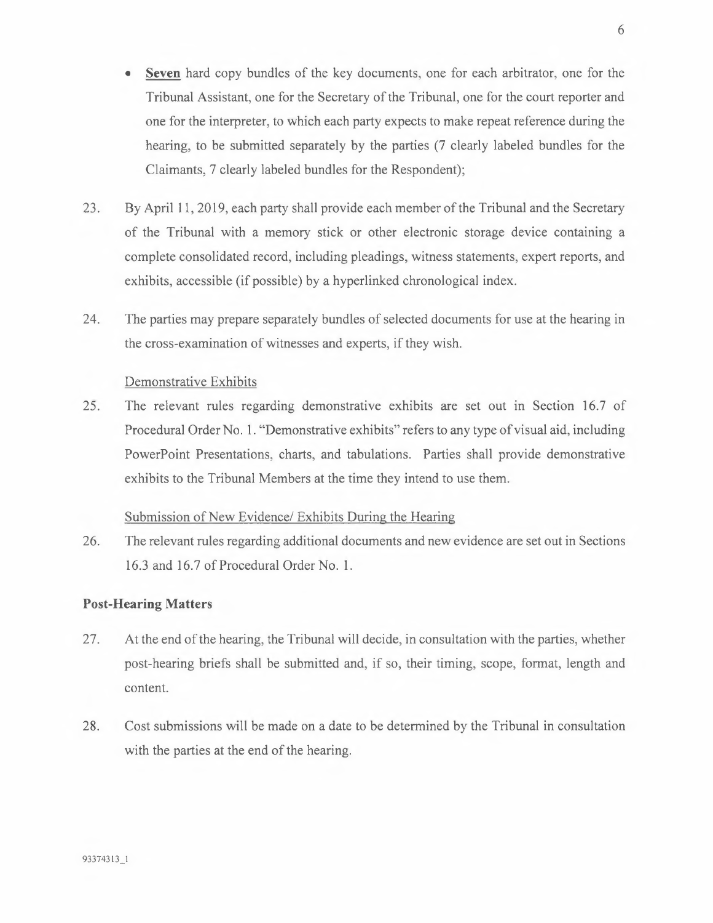- **Seven** hard copy bundles of the key documents, one for each arbitrator, one for the Tribunal Assistant, one for the Secretary of the Tribunal, one for the court reporter and one for the interpreter, to which each party expects to make repeat reference during the hearing, to be submitted separately by the parties (7 clearly labeled bundles for the Claimants, 7 clearly labeled bundles for the Respondent);
- 23. By April 11, 2019, each party shall provide each member of the Tribunal and the Secretary of the Tribunal with a memory stick or other electronic storage device containing a complete consolidated record, including pleadings, witness statements, expert reports, and exhibits, accessible (if possible) by a hyperlinked chronological index.
- 24. The parties may prepare separately bundles of selected documents for use at the hearing in the cross-examination of witnesses and experts, if they wish.

Demonstrative Exhibits

25. The relevant rules regarding demonstrative exhibits are set out in Section 16.7 of Procedural Order No. 1. "Demonstrative exhibits" refers to any type of visual aid, including PowerPoint Presentations, charts, and tabulations. Parties shall provide demonstrative exhibits to the Tribunal Members at the time they intend to use them.

# Submission of New Evidence/ Exhibits During the Hearing

26. The relevant rules regarding additional documents and new evidence are set out in Sections 16.3 and 16.7 of Procedural Order No. 1.

## **Post-Hearing Matters**

- 27. At the end of the hearing, the Tribunal will decide, in consultation with the parties, whether post-hearing briefs shall be submitted and, if so, their timing, scope, format, length and content.
- 28. Cost submissions will be made on a date to be determined by the Tribunal in consultation with the parties at the end of the hearing.